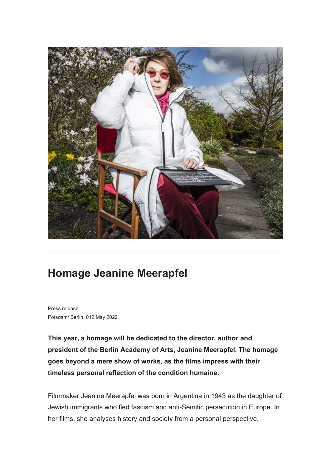

## **Homage Jeanine Meerapfel**

Press release Potsdam/ Berlin, 012 May 2022

**This year, a homage will be dedicated to the director, author and president of the Berlin Academy of Arts, Jeanine Meerapfel. The homage goes beyond a mere show of works, as the films impress with their timeless personal reflection of the condition humaine.**

Filmmaker Jeanine Meerapfel was born in Argentina in 1943 as the daughter of Jewish immigrants who fled fascism and anti-Semitic persecution in Europe. In her films, she analyses history and society from a personal perspective,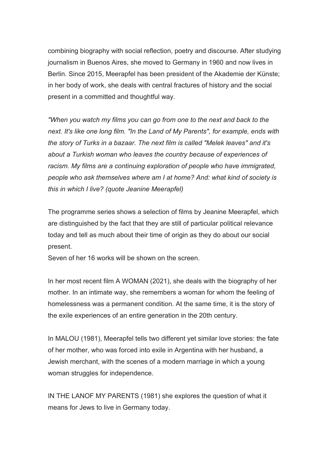combining biography with social reflection, poetry and discourse. After studying journalism in Buenos Aires, she moved to Germany in 1960 and now lives in Berlin. Since 2015, Meerapfel has been president of the Akademie der Künste; in her body of work, she deals with central fractures of history and the social present in a committed and thoughtful way.

*"When you watch my films you can go from one to the next and back to the next. It's like one long film. "In the Land of My Parents", for example, ends with the story of Turks in a bazaar. The next film is called "Melek leaves" and it's about a Turkish woman who leaves the country because of experiences of racism. My films are a continuing exploration of people who have immigrated, people who ask themselves where am I at home? And: what kind of society is this in which I live? (quote Jeanine Meerapfel)*

The programme series shows a selection of films by Jeanine Meerapfel, which are distinguished by the fact that they are still of particular political relevance today and tell as much about their time of origin as they do about our social present.

Seven of her 16 works will be shown on the screen.

In her most recent film A WOMAN (2021), she deals with the biography of her mother. In an intimate way, she remembers a woman for whom the feeling of homelessness was a permanent condition. At the same time, it is the story of the exile experiences of an entire generation in the 20th century.

In MALOU (1981), Meerapfel tells two different yet similar love stories: the fate of her mother, who was forced into exile in Argentina with her husband, a Jewish merchant, with the scenes of a modern marriage in which a young woman struggles for independence.

IN THE LANOF MY PARENTS (1981) she explores the question of what it means for Jews to live in Germany today.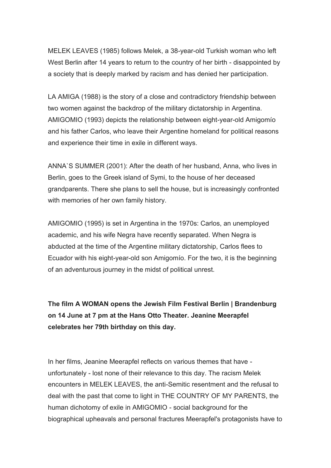MELEK LEAVES (1985) follows Melek, a 38-year-old Turkish woman who left West Berlin after 14 years to return to the country of her birth - disappointed by a society that is deeply marked by racism and has denied her participation.

LA AMIGA (1988) is the story of a close and contradictory friendship between two women against the backdrop of the military dictatorship in Argentina. AMIGOMIO (1993) depicts the relationship between eight-year-old Amigomío and his father Carlos, who leave their Argentine homeland for political reasons and experience their time in exile in different ways.

ANNA`S SUMMER (2001): After the death of her husband, Anna, who lives in Berlin, goes to the Greek island of Symi, to the house of her deceased grandparents. There she plans to sell the house, but is increasingly confronted with memories of her own family history.

AMIGOMIO (1995) is set in Argentina in the 1970s: Carlos, an unemployed academic, and his wife Negra have recently separated. When Negra is abducted at the time of the Argentine military dictatorship, Carlos flees to Ecuador with his eight-year-old son Amigomío. For the two, it is the beginning of an adventurous journey in the midst of political unrest.

**The film A WOMAN opens the Jewish Film Festival Berlin | Brandenburg on 14 June at 7 pm at the Hans Otto Theater. Jeanine Meerapfel celebrates her 79th birthday on this day.**

In her films, Jeanine Meerapfel reflects on various themes that have unfortunately - lost none of their relevance to this day. The racism Melek encounters in MELEK LEAVES, the anti-Semitic resentment and the refusal to deal with the past that come to light in THE COUNTRY OF MY PARENTS, the human dichotomy of exile in AMIGOMIO - social background for the biographical upheavals and personal fractures Meerapfel's protagonists have to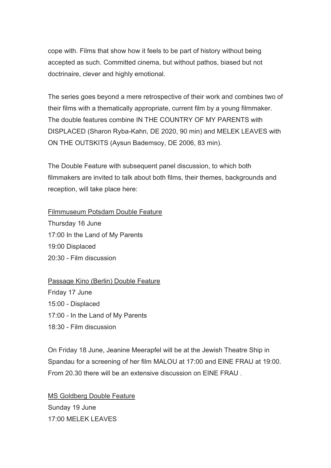cope with. Films that show how it feels to be part of history without being accepted as such. Committed cinema, but without pathos, biased but not doctrinaire, clever and highly emotional.

The series goes beyond a mere retrospective of their work and combines two of their films with a thematically appropriate, current film by a young filmmaker. The double features combine IN THE COUNTRY OF MY PARENTS with DISPLACED (Sharon Ryba-Kahn, DE 2020, 90 min) and MELEK LEAVES with ON THE OUTSKITS (Aysun Bademsoy, DE 2006, 83 min).

The Double Feature with subsequent panel discussion, to which both filmmakers are invited to talk about both films, their themes, backgrounds and reception, will take place here:

Filmmuseum Potsdam Double Feature

Thursday 16 June 17:00 In the Land of My Parents 19:00 Displaced 20:30 - Film discussion

## Passage Kino (Berlin) Double Feature

Friday 17 June 15:00 - Displaced 17:00 - In the Land of My Parents 18:30 - Film discussion

On Friday 18 June, Jeanine Meerapfel will be at the Jewish Theatre Ship in Spandau for a screening of her film MALOU at 17:00 and EINE FRAU at 19:00. From 20.30 there will be an extensive discussion on EINE FRAU .

MS Goldberg Double Feature Sunday 19 June 17:00 MELEK LEAVES